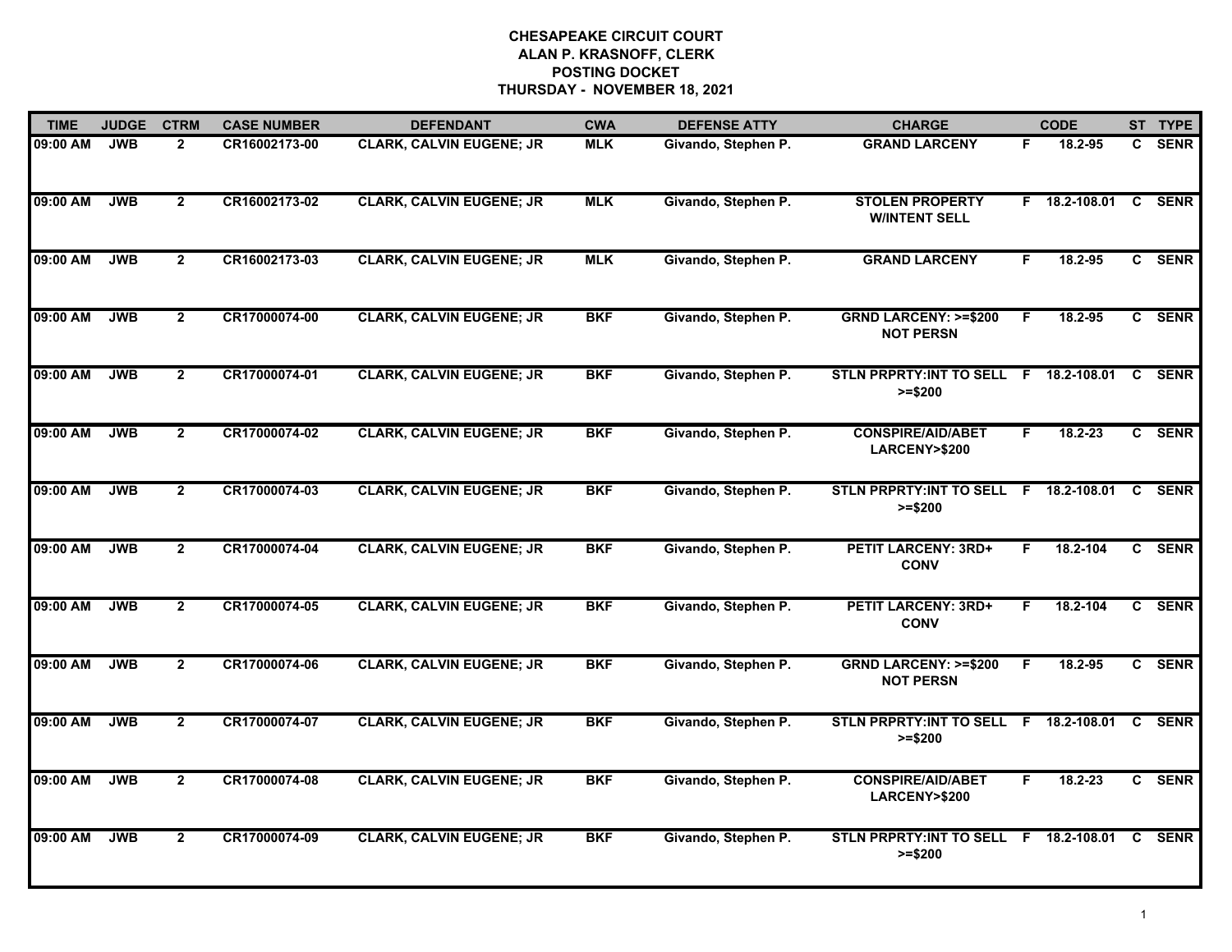| <b>TIME</b> | <b>JUDGE</b> | <b>CTRM</b>    | <b>CASE NUMBER</b> | <b>DEFENDANT</b>                | <b>CWA</b> | <b>DEFENSE ATTY</b> | <b>CHARGE</b>                                       |    | <b>CODE</b>     |              | ST TYPE     |
|-------------|--------------|----------------|--------------------|---------------------------------|------------|---------------------|-----------------------------------------------------|----|-----------------|--------------|-------------|
| 09:00 AM    | <b>JWB</b>   | $\mathbf{2}$   | CR16002173-00      | <b>CLARK, CALVIN EUGENE; JR</b> | <b>MLK</b> | Givando, Stephen P. | <b>GRAND LARCENY</b>                                | F. | 18.2-95         | C.           | <b>SENR</b> |
| 09:00 AM    | <b>JWB</b>   | $\overline{2}$ | CR16002173-02      | <b>CLARK, CALVIN EUGENE; JR</b> | <b>MLK</b> | Givando, Stephen P. | <b>STOLEN PROPERTY</b><br><b>W/INTENT SELL</b>      |    | $F$ 18.2-108.01 | C            | <b>SENR</b> |
| 09:00 AM    | <b>JWB</b>   | $\mathbf{2}$   | CR16002173-03      | <b>CLARK, CALVIN EUGENE; JR</b> | <b>MLK</b> | Givando, Stephen P. | <b>GRAND LARCENY</b>                                | F. | 18.2-95         |              | C SENR      |
| 09:00 AM    | <b>JWB</b>   | $\mathbf{2}$   | CR17000074-00      | <b>CLARK, CALVIN EUGENE; JR</b> | <b>BKF</b> | Givando, Stephen P. | <b>GRND LARCENY: &gt;=\$200</b><br><b>NOT PERSN</b> | F  | 18.2-95         |              | C SENR      |
| 09:00 AM    | <b>JWB</b>   | $\overline{2}$ | CR17000074-01      | <b>CLARK, CALVIN EUGENE; JR</b> | <b>BKF</b> | Givando, Stephen P. | STLN PRPRTY: INT TO SELL F<br>$>= $200$             |    | 18.2-108.01     | C            | <b>SENR</b> |
| 09:00 AM    | <b>JWB</b>   | $\overline{2}$ | CR17000074-02      | <b>CLARK, CALVIN EUGENE; JR</b> | <b>BKF</b> | Givando, Stephen P. | <b>CONSPIRE/AID/ABET</b><br><b>LARCENY&gt;\$200</b> | F. | $18.2 - 23$     |              | C SENR      |
| 09:00 AM    | <b>JWB</b>   | $\mathbf{2}$   | CR17000074-03      | <b>CLARK, CALVIN EUGENE; JR</b> | <b>BKF</b> | Givando, Stephen P. | STLN PRPRTY: INT TO SELL F 18.2-108.01<br>$>= $200$ |    |                 | C.           | <b>SENR</b> |
| 09:00 AM    | <b>JWB</b>   | $\mathbf{2}$   | CR17000074-04      | <b>CLARK, CALVIN EUGENE; JR</b> | <b>BKF</b> | Givando, Stephen P. | <b>PETIT LARCENY: 3RD+</b><br><b>CONV</b>           | F  | 18.2-104        |              | C SENR      |
| 09:00 AM    | <b>JWB</b>   | $\overline{2}$ | CR17000074-05      | <b>CLARK, CALVIN EUGENE; JR</b> | <b>BKF</b> | Givando, Stephen P. | <b>PETIT LARCENY: 3RD+</b><br><b>CONV</b>           | F  | 18.2-104        |              | C SENR      |
| 09:00 AM    | <b>JWB</b>   | $\mathbf{2}$   | CR17000074-06      | <b>CLARK, CALVIN EUGENE; JR</b> | <b>BKF</b> | Givando, Stephen P. | <b>GRND LARCENY: &gt;=\$200</b><br><b>NOT PERSN</b> | F  | 18.2-95         |              | C SENR      |
| 09:00 AM    | <b>JWB</b>   | $\mathbf{2}$   | CR17000074-07      | <b>CLARK, CALVIN EUGENE; JR</b> | <b>BKF</b> | Givando, Stephen P. | <b>STLN PRPRTY:INT TO SELL</b><br>$>= $200$         | F. | 18.2-108.01     | C            | <b>SENR</b> |
| 09:00 AM    | <b>JWB</b>   | $\overline{2}$ | CR17000074-08      | <b>CLARK, CALVIN EUGENE; JR</b> | <b>BKF</b> | Givando, Stephen P. | <b>CONSPIRE/AID/ABET</b><br>LARCENY>\$200           | F. | 18.2-23         | $\mathbf{c}$ | <b>SENR</b> |
| 09:00 AM    | <b>JWB</b>   | $\mathbf{2}$   | CR17000074-09      | <b>CLARK, CALVIN EUGENE; JR</b> | <b>BKF</b> | Givando, Stephen P. | STLN PRPRTY: INT TO SELL F 18.2-108.01<br>$>= $200$ |    |                 | C            | <b>SENR</b> |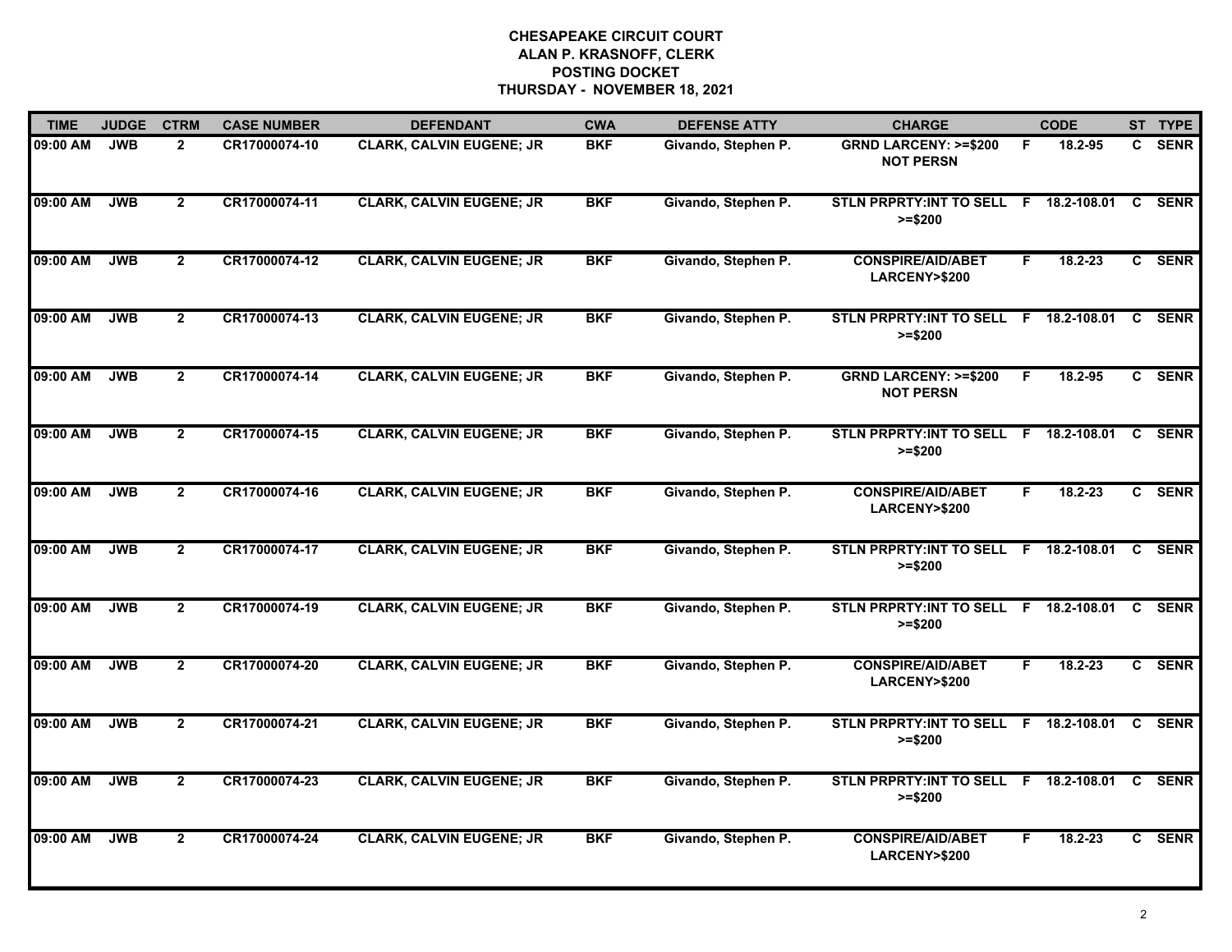| <b>TIME</b> | <b>JUDGE</b> | <b>CTRM</b>             | <b>CASE NUMBER</b> | <b>DEFENDANT</b>                | <b>CWA</b> | <b>DEFENSE ATTY</b> | <b>CHARGE</b>                                       |    | <b>CODE</b> |                | ST TYPE     |
|-------------|--------------|-------------------------|--------------------|---------------------------------|------------|---------------------|-----------------------------------------------------|----|-------------|----------------|-------------|
| 09:00 AM    | <b>JWB</b>   | $\mathbf{2}$            | CR17000074-10      | <b>CLARK, CALVIN EUGENE; JR</b> | <b>BKF</b> | Givando, Stephen P. | <b>GRND LARCENY: &gt;=\$200</b><br><b>NOT PERSN</b> | F. | 18.2-95     | C.             | <b>SENR</b> |
| 09:00 AM    | <b>JWB</b>   | $\mathbf{2}$            | CR17000074-11      | <b>CLARK, CALVIN EUGENE; JR</b> | <b>BKF</b> | Givando, Stephen P. | STLN PRPRTY: INT TO SELL F 18.2-108.01<br>$>= $200$ |    |             | C              | <b>SENR</b> |
| 09:00 AM    | <b>JWB</b>   | $\overline{2}$          | CR17000074-12      | <b>CLARK, CALVIN EUGENE; JR</b> | <b>BKF</b> | Givando, Stephen P. | <b>CONSPIRE/AID/ABET</b><br>LARCENY>\$200           | F  | $18.2 - 23$ |                | C SENR      |
| 09:00 AM    | <b>JWB</b>   | $\overline{2}$          | CR17000074-13      | <b>CLARK, CALVIN EUGENE; JR</b> | <b>BKF</b> | Givando, Stephen P. | STLN PRPRTY: INT TO SELL F 18.2-108.01<br>$>= $200$ |    |             |                | C SENR      |
| 09:00 AM    | <b>JWB</b>   | $\mathbf{2}$            | CR17000074-14      | <b>CLARK, CALVIN EUGENE; JR</b> | <b>BKF</b> | Givando, Stephen P. | <b>GRND LARCENY: &gt;=\$200</b><br><b>NOT PERSN</b> | F  | 18.2-95     |                | C SENR      |
| 09:00 AM    | <b>JWB</b>   | $\mathbf{2}$            | CR17000074-15      | <b>CLARK, CALVIN EUGENE; JR</b> | <b>BKF</b> | Givando, Stephen P. | STLN PRPRTY: INT TO SELL F 18.2-108.01<br>$>= $200$ |    |             | C              | <b>SENR</b> |
| 09:00 AM    | <b>JWB</b>   | $\overline{\mathbf{2}}$ | CR17000074-16      | <b>CLARK, CALVIN EUGENE; JR</b> | <b>BKF</b> | Givando, Stephen P. | <b>CONSPIRE/AID/ABET</b><br>LARCENY>\$200           | F. | 18.2-23     | $\overline{c}$ | <b>SENR</b> |
| 09:00 AM    | <b>JWB</b>   | $\overline{2}$          | CR17000074-17      | <b>CLARK, CALVIN EUGENE; JR</b> | <b>BKF</b> | Givando, Stephen P. | STLN PRPRTY: INT TO SELL F 18.2-108.01<br>$>= $200$ |    |             | C.             | <b>SENR</b> |
| 09:00 AM    | <b>JWB</b>   | $\overline{2}$          | CR17000074-19      | <b>CLARK, CALVIN EUGENE; JR</b> | <b>BKF</b> | Givando, Stephen P. | STLN PRPRTY: INT TO SELL F<br>$>= $200$             |    | 18.2-108.01 |                | C SENR      |
| 09:00 AM    | <b>JWB</b>   | $\mathbf{2}$            | CR17000074-20      | <b>CLARK, CALVIN EUGENE; JR</b> | <b>BKF</b> | Givando, Stephen P. | <b>CONSPIRE/AID/ABET</b><br>LARCENY>\$200           | F. | $18.2 - 23$ |                | C SENR      |
| 09:00 AM    | <b>JWB</b>   | $\mathbf{2}$            | CR17000074-21      | <b>CLARK, CALVIN EUGENE; JR</b> | <b>BKF</b> | Givando, Stephen P. | STLN PRPRTY:INT TO SELL F 18.2-108.01<br>$>= $200$  |    |             | C              | <b>SENR</b> |
| 09:00 AM    | <b>JWB</b>   | $\overline{2}$          | CR17000074-23      | <b>CLARK, CALVIN EUGENE; JR</b> | <b>BKF</b> | Givando, Stephen P. | STLN PRPRTY: INT TO SELL F 18.2-108.01<br>$>= $200$ |    |             | <b>C</b>       | <b>SENR</b> |
| 09:00 AM    | <b>JWB</b>   | $\mathbf{2}$            | CR17000074-24      | <b>CLARK, CALVIN EUGENE; JR</b> | <b>BKF</b> | Givando, Stephen P. | <b>CONSPIRE/AID/ABET</b><br>LARCENY>\$200           | F  | 18.2-23     |                | C SENR      |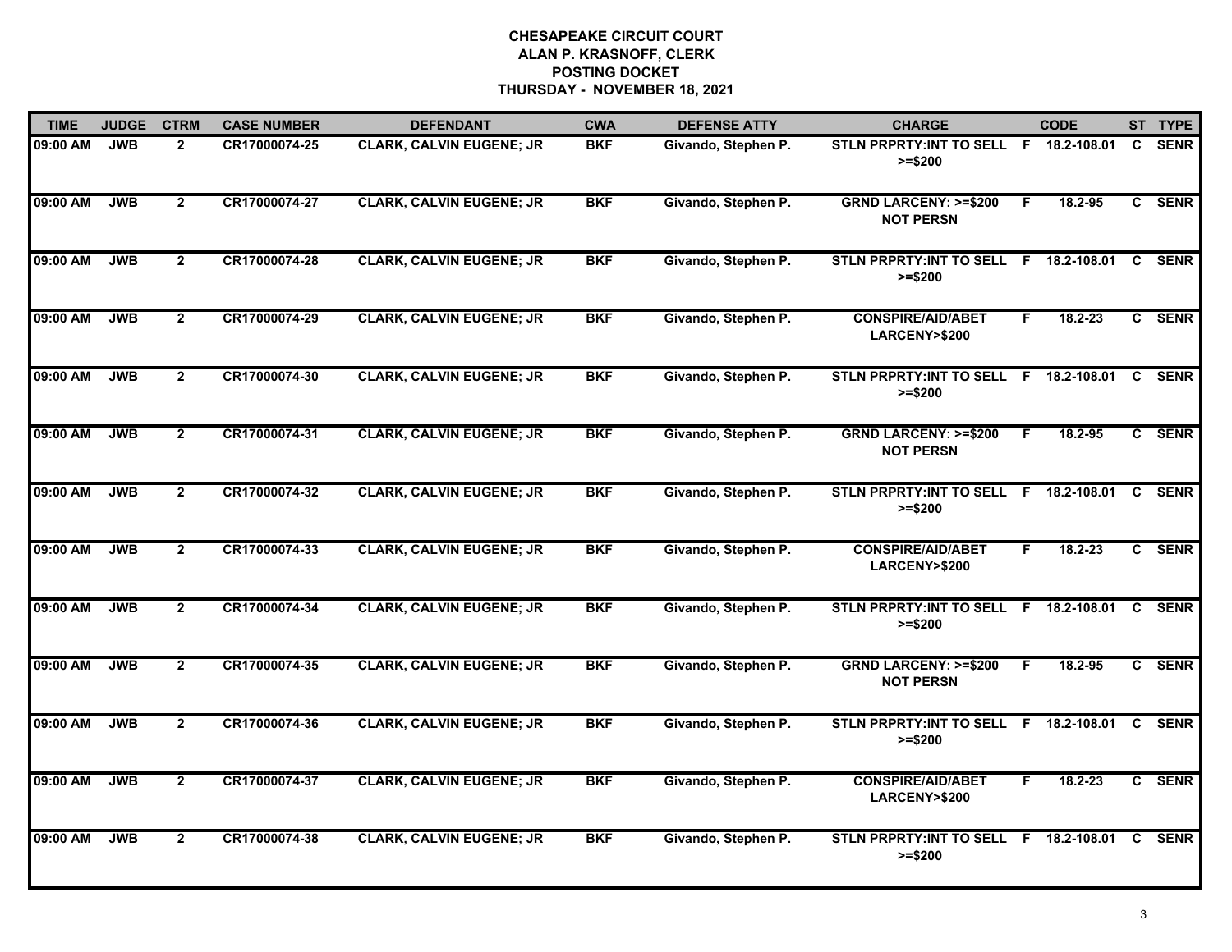| <b>TIME</b> | <b>JUDGE</b> | <b>CTRM</b>    | <b>CASE NUMBER</b> | <b>DEFENDANT</b>                | <b>CWA</b> | <b>DEFENSE ATTY</b> | <b>CHARGE</b>                                       |    | <b>CODE</b>     |              | ST TYPE     |
|-------------|--------------|----------------|--------------------|---------------------------------|------------|---------------------|-----------------------------------------------------|----|-----------------|--------------|-------------|
| 09:00 AM    | <b>JWB</b>   | $\mathbf{2}$   | CR17000074-25      | <b>CLARK, CALVIN EUGENE; JR</b> | <b>BKF</b> | Givando, Stephen P. | STLN PRPRTY: INT TO SELL F 18.2-108.01<br>$>= $200$ |    |                 | C            | <b>SENR</b> |
| 09:00 AM    | <b>JWB</b>   | $\overline{2}$ | CR17000074-27      | <b>CLARK, CALVIN EUGENE; JR</b> | <b>BKF</b> | Givando, Stephen P. | <b>GRND LARCENY: &gt;=\$200</b><br><b>NOT PERSN</b> | F. | 18.2-95         |              | C SENR      |
| 09:00 AM    | <b>JWB</b>   | $\mathbf{2}$   | CR17000074-28      | <b>CLARK, CALVIN EUGENE; JR</b> | <b>BKF</b> | Givando, Stephen P. | STLN PRPRTY:INT TO SELL F 18.2-108.01<br>$>= $200$  |    |                 | C            | <b>SENR</b> |
| 09:00 AM    | <b>JWB</b>   | $\overline{2}$ | CR17000074-29      | <b>CLARK, CALVIN EUGENE; JR</b> | <b>BKF</b> | Givando, Stephen P. | <b>CONSPIRE/AID/ABET</b><br>LARCENY>\$200           | F. | 18.2-23         | C.           | <b>SENR</b> |
| 09:00 AM    | <b>JWB</b>   | $\overline{2}$ | CR17000074-30      | <b>CLARK, CALVIN EUGENE; JR</b> | <b>BKF</b> | Givando, Stephen P. | <b>STLN PRPRTY:INT TO SELL</b><br>$>= $200$         |    | F 18.2-108.01   | C.           | <b>SENR</b> |
| 09:00 AM    | <b>JWB</b>   | $\mathbf{2}$   | CR17000074-31      | <b>CLARK, CALVIN EUGENE; JR</b> | <b>BKF</b> | Givando, Stephen P. | <b>GRND LARCENY: &gt;=\$200</b><br><b>NOT PERSN</b> | F. | 18.2-95         |              | C SENR      |
| 09:00 AM    | <b>JWB</b>   | $\overline{2}$ | CR17000074-32      | <b>CLARK, CALVIN EUGENE; JR</b> | <b>BKF</b> | Givando, Stephen P. | <b>STLN PRPRTY:INT TO SELL</b><br>$>= $200$         |    | $F$ 18.2-108.01 | C            | <b>SENR</b> |
| 09:00 AM    | <b>JWB</b>   | $\overline{2}$ | CR17000074-33      | <b>CLARK, CALVIN EUGENE; JR</b> | <b>BKF</b> | Givando, Stephen P. | <b>CONSPIRE/AID/ABET</b><br>LARCENY>\$200           | F  | 18.2-23         |              | C SENR      |
| 09:00 AM    | <b>JWB</b>   | $\mathbf{2}$   | CR17000074-34      | <b>CLARK, CALVIN EUGENE; JR</b> | <b>BKF</b> | Givando, Stephen P. | STLN PRPRTY: INT TO SELL F<br>$>= $200$             |    | 18.2-108.01     | C.           | <b>SENR</b> |
| 09:00 AM    | <b>JWB</b>   | $\overline{2}$ | CR17000074-35      | <b>CLARK, CALVIN EUGENE; JR</b> | <b>BKF</b> | Givando, Stephen P. | <b>GRND LARCENY: &gt;=\$200</b><br><b>NOT PERSN</b> | F  | 18.2-95         | $\mathbf{c}$ | <b>SENR</b> |
| 09:00 AM    | <b>JWB</b>   | $\mathbf{2}$   | CR17000074-36      | <b>CLARK, CALVIN EUGENE; JR</b> | <b>BKF</b> | Givando, Stephen P. | STLN PRPRTY: INT TO SELL F 18.2-108.01<br>$>= $200$ |    |                 | C            | <b>SENR</b> |
| 09:00 AM    | <b>JWB</b>   | $\mathbf{2}$   | CR17000074-37      | <b>CLARK, CALVIN EUGENE; JR</b> | <b>BKF</b> | Givando, Stephen P. | <b>CONSPIRE/AID/ABET</b><br>LARCENY>\$200           | F. | 18.2-23         | C            | <b>SENR</b> |
| 09:00 AM    | <b>JWB</b>   | $\overline{2}$ | CR17000074-38      | <b>CLARK, CALVIN EUGENE; JR</b> | <b>BKF</b> | Givando, Stephen P. | STLN PRPRTY: INT TO SELL F 18.2-108.01<br>$>= $200$ |    |                 | C.           | <b>SENR</b> |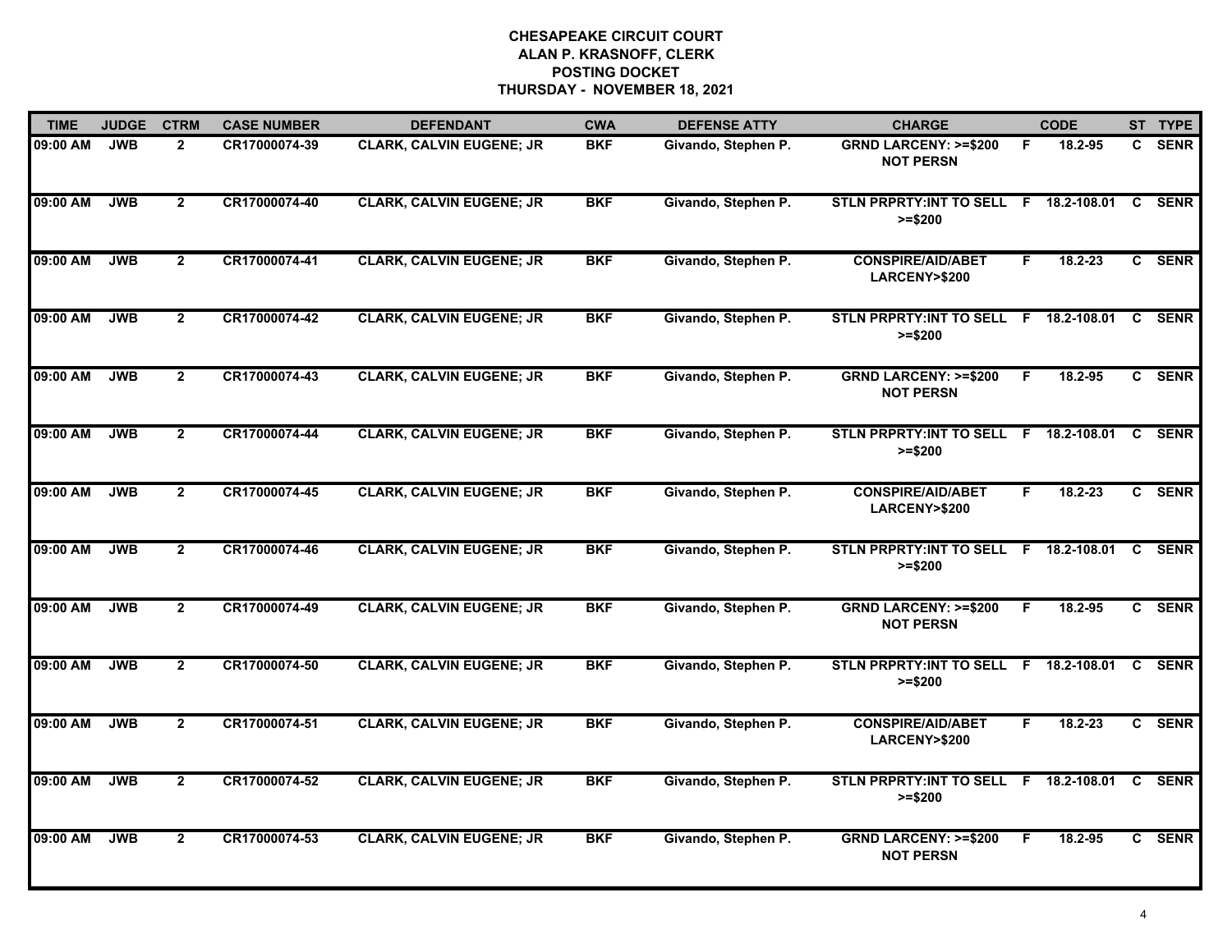| <b>TIME</b> | <b>JUDGE</b> | <b>CTRM</b>    | <b>CASE NUMBER</b> | <b>DEFENDANT</b>                | <b>CWA</b> | <b>DEFENSE ATTY</b> | <b>CHARGE</b>                                       |    | <b>CODE</b>   |    | ST TYPE     |
|-------------|--------------|----------------|--------------------|---------------------------------|------------|---------------------|-----------------------------------------------------|----|---------------|----|-------------|
| 09:00 AM    | <b>JWB</b>   | $\mathbf{2}$   | CR17000074-39      | <b>CLARK, CALVIN EUGENE; JR</b> | <b>BKF</b> | Givando, Stephen P. | <b>GRND LARCENY: &gt;=\$200</b><br><b>NOT PERSN</b> | F. | 18.2-95       |    | C SENR      |
| 09:00 AM    | <b>JWB</b>   | $\overline{2}$ | CR17000074-40      | <b>CLARK, CALVIN EUGENE; JR</b> | <b>BKF</b> | Givando, Stephen P. | <b>STLN PRPRTY: INT TO SELL</b><br>$>= $200$        |    | F 18.2-108.01 | C  | <b>SENR</b> |
| 09:00 AM    | <b>JWB</b>   | $\mathbf{2}$   | CR17000074-41      | <b>CLARK, CALVIN EUGENE; JR</b> | <b>BKF</b> | Givando, Stephen P. | <b>CONSPIRE/AID/ABET</b><br><b>LARCENY&gt;\$200</b> | F. | 18.2-23       |    | C SENR      |
| 09:00 AM    | <b>JWB</b>   | $\overline{2}$ | CR17000074-42      | <b>CLARK, CALVIN EUGENE; JR</b> | <b>BKF</b> | Givando, Stephen P. | STLN PRPRTY: INT TO SELL F 18.2-108.01<br>$>= $200$ |    |               | C. | <b>SENR</b> |
| 09:00 AM    | <b>JWB</b>   | $\overline{2}$ | CR17000074-43      | <b>CLARK, CALVIN EUGENE; JR</b> | <b>BKF</b> | Givando, Stephen P. | <b>GRND LARCENY: &gt;=\$200</b><br><b>NOT PERSN</b> | F. | 18.2-95       |    | C SENR      |
| 09:00 AM    | <b>JWB</b>   | $\overline{2}$ | CR17000074-44      | <b>CLARK, CALVIN EUGENE; JR</b> | <b>BKF</b> | Givando, Stephen P. | STLN PRPRTY:INT TO SELL F 18.2-108.01<br>$>= $200$  |    |               | C. | <b>SENR</b> |
| 09:00 AM    | <b>JWB</b>   | $\overline{2}$ | CR17000074-45      | <b>CLARK, CALVIN EUGENE; JR</b> | <b>BKF</b> | Givando, Stephen P. | <b>CONSPIRE/AID/ABET</b><br><b>LARCENY&gt;\$200</b> | F  | $18.2 - 23$   | C  | <b>SENR</b> |
| 09:00 AM    | <b>JWB</b>   | $\overline{2}$ | CR17000074-46      | <b>CLARK, CALVIN EUGENE; JR</b> | <b>BKF</b> | Givando, Stephen P. | STLN PRPRTY: INT TO SELL F 18.2-108.01<br>$>= $200$ |    |               | C. | <b>SENR</b> |
| 09:00 AM    | <b>JWB</b>   | $\mathbf{2}$   | CR17000074-49      | <b>CLARK, CALVIN EUGENE; JR</b> | <b>BKF</b> | Givando, Stephen P. | <b>GRND LARCENY: &gt;=\$200</b><br><b>NOT PERSN</b> | F  | 18.2-95       | C. | <b>SENR</b> |
| 09:00 AM    | <b>JWB</b>   | $\mathbf{2}$   | CR17000074-50      | <b>CLARK, CALVIN EUGENE; JR</b> | <b>BKF</b> | Givando, Stephen P. | STLN PRPRTY: INT TO SELL F 18.2-108.01<br>>=\$200   |    |               | C  | <b>SENR</b> |
| 09:00 AM    | <b>JWB</b>   | $\mathbf{2}$   | CR17000074-51      | <b>CLARK, CALVIN EUGENE; JR</b> | <b>BKF</b> | Givando, Stephen P. | <b>CONSPIRE/AID/ABET</b><br><b>LARCENY&gt;\$200</b> | F. | 18.2-23       |    | C SENR      |
| 09:00 AM    | <b>JWB</b>   | $\mathbf{2}$   | CR17000074-52      | <b>CLARK, CALVIN EUGENE; JR</b> | <b>BKF</b> | Givando, Stephen P. | STLN PRPRTY: INT TO SELL F 18.2-108.01<br>$>= $200$ |    |               | C  | <b>SENR</b> |
| 09:00 AM    | <b>JWB</b>   | $\mathbf{2}$   | CR17000074-53      | <b>CLARK, CALVIN EUGENE; JR</b> | <b>BKF</b> | Givando, Stephen P. | <b>GRND LARCENY: &gt;=\$200</b><br><b>NOT PERSN</b> | F. | 18.2-95       |    | C SENR      |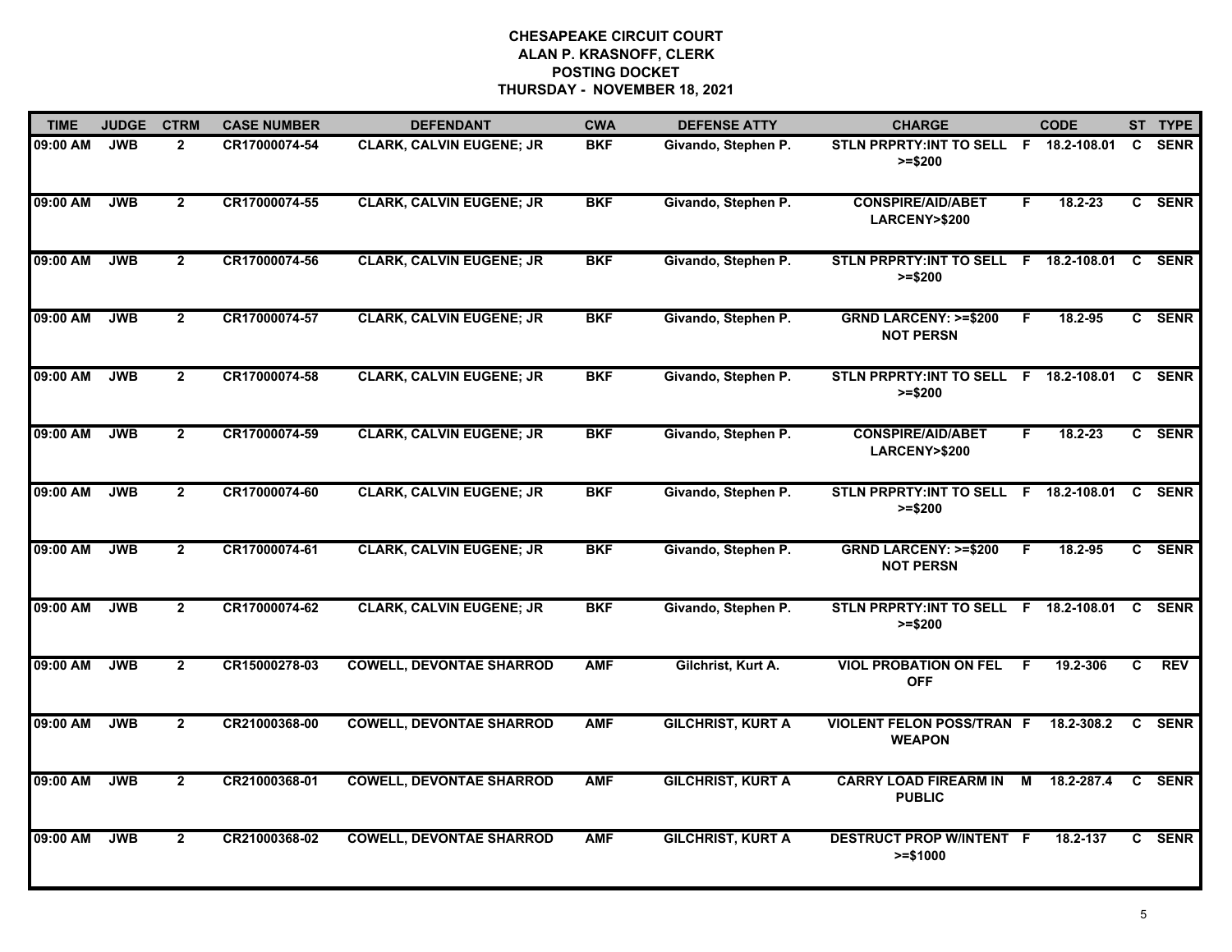| <b>TIME</b> | <b>JUDGE</b> | <b>CTRM</b>    | <b>CASE NUMBER</b> | <b>DEFENDANT</b>                | <b>CWA</b> | <b>DEFENSE ATTY</b>      | <b>CHARGE</b>                                       |    | <b>CODE</b>   |              | ST TYPE     |
|-------------|--------------|----------------|--------------------|---------------------------------|------------|--------------------------|-----------------------------------------------------|----|---------------|--------------|-------------|
| 09:00 AM    | <b>JWB</b>   | $\overline{2}$ | CR17000074-54      | <b>CLARK, CALVIN EUGENE; JR</b> | <b>BKF</b> | Givando, Stephen P.      | STLN PRPRTY: INT TO SELL F 18.2-108.01<br>$>= $200$ |    |               | C.           | <b>SENR</b> |
| 09:00 AM    | <b>JWB</b>   | $\mathbf{2}$   | CR17000074-55      | <b>CLARK, CALVIN EUGENE; JR</b> | <b>BKF</b> | Givando, Stephen P.      | <b>CONSPIRE/AID/ABET</b><br>LARCENY>\$200           | F  | $18.2 - 23$   |              | C SENR      |
| 09:00 AM    | <b>JWB</b>   | $\overline{2}$ | CR17000074-56      | <b>CLARK, CALVIN EUGENE; JR</b> | <b>BKF</b> | Givando, Stephen P.      | STLN PRPRTY: INT TO SELL F 18.2-108.01<br>$>= $200$ |    |               |              | C SENR      |
| 09:00 AM    | <b>JWB</b>   | $\mathbf{2}$   | CR17000074-57      | <b>CLARK, CALVIN EUGENE; JR</b> | <b>BKF</b> | Givando, Stephen P.      | <b>GRND LARCENY: &gt;=\$200</b><br><b>NOT PERSN</b> | F. | 18.2-95       | $\mathbf{c}$ | <b>SENR</b> |
| 09:00 AM    | <b>JWB</b>   | $\overline{2}$ | CR17000074-58      | <b>CLARK, CALVIN EUGENE; JR</b> | <b>BKF</b> | Givando, Stephen P.      | STLN PRPRTY: INT TO SELL F 18.2-108.01<br>$>= $200$ |    |               | C.           | <b>SENR</b> |
| 09:00 AM    | <b>JWB</b>   | $\overline{2}$ | CR17000074-59      | <b>CLARK, CALVIN EUGENE; JR</b> | <b>BKF</b> | Givando, Stephen P.      | <b>CONSPIRE/AID/ABET</b><br>LARCENY>\$200           | F. | 18.2-23       |              | C SENR      |
| 09:00 AM    | <b>JWB</b>   | $\overline{2}$ | CR17000074-60      | <b>CLARK, CALVIN EUGENE; JR</b> | <b>BKF</b> | Givando, Stephen P.      | <b>STLN PRPRTY:INT TO SELL</b><br>$>= $200$         |    | F 18.2-108.01 | C            | <b>SENR</b> |
| 09:00 AM    | <b>JWB</b>   | $\overline{2}$ | CR17000074-61      | <b>CLARK, CALVIN EUGENE; JR</b> | <b>BKF</b> | Givando, Stephen P.      | <b>GRND LARCENY: &gt;=\$200</b><br><b>NOT PERSN</b> | F  | 18.2-95       |              | C SENR      |
| 09:00 AM    | <b>JWB</b>   | $\overline{2}$ | CR17000074-62      | <b>CLARK, CALVIN EUGENE; JR</b> | <b>BKF</b> | Givando, Stephen P.      | STLN PRPRTY: INT TO SELL F 18.2-108.01<br>$>= $200$ |    |               | C.           | <b>SENR</b> |
| 09:00 AM    | <b>JWB</b>   | $\overline{2}$ | CR15000278-03      | <b>COWELL, DEVONTAE SHARROD</b> | <b>AMF</b> | Gilchrist, Kurt A.       | <b>VIOL PROBATION ON FEL</b><br><b>OFF</b>          | F  | 19.2-306      | C.           | <b>REV</b>  |
| 09:00 AM    | <b>JWB</b>   | $\mathbf{2}$   | CR21000368-00      | <b>COWELL, DEVONTAE SHARROD</b> | <b>AMF</b> | <b>GILCHRIST, KURT A</b> | <b>VIOLENT FELON POSS/TRAN F</b><br><b>WEAPON</b>   |    | 18.2-308.2    | C            | <b>SENR</b> |
| 09:00 AM    | <b>JWB</b>   | $\overline{2}$ | CR21000368-01      | <b>COWELL, DEVONTAE SHARROD</b> | <b>AMF</b> | <b>GILCHRIST, KURT A</b> | <b>CARRY LOAD FIREARM IN</b><br><b>PUBLIC</b>       | M  | 18.2-287.4    | C            | <b>SENR</b> |
| 09:00 AM    | <b>JWB</b>   | $\mathbf{2}$   | CR21000368-02      | <b>COWELL, DEVONTAE SHARROD</b> | <b>AMF</b> | <b>GILCHRIST, KURT A</b> | DESTRUCT PROP W/INTENT F<br>$>= $1000$              |    | 18.2-137      | C            | <b>SENR</b> |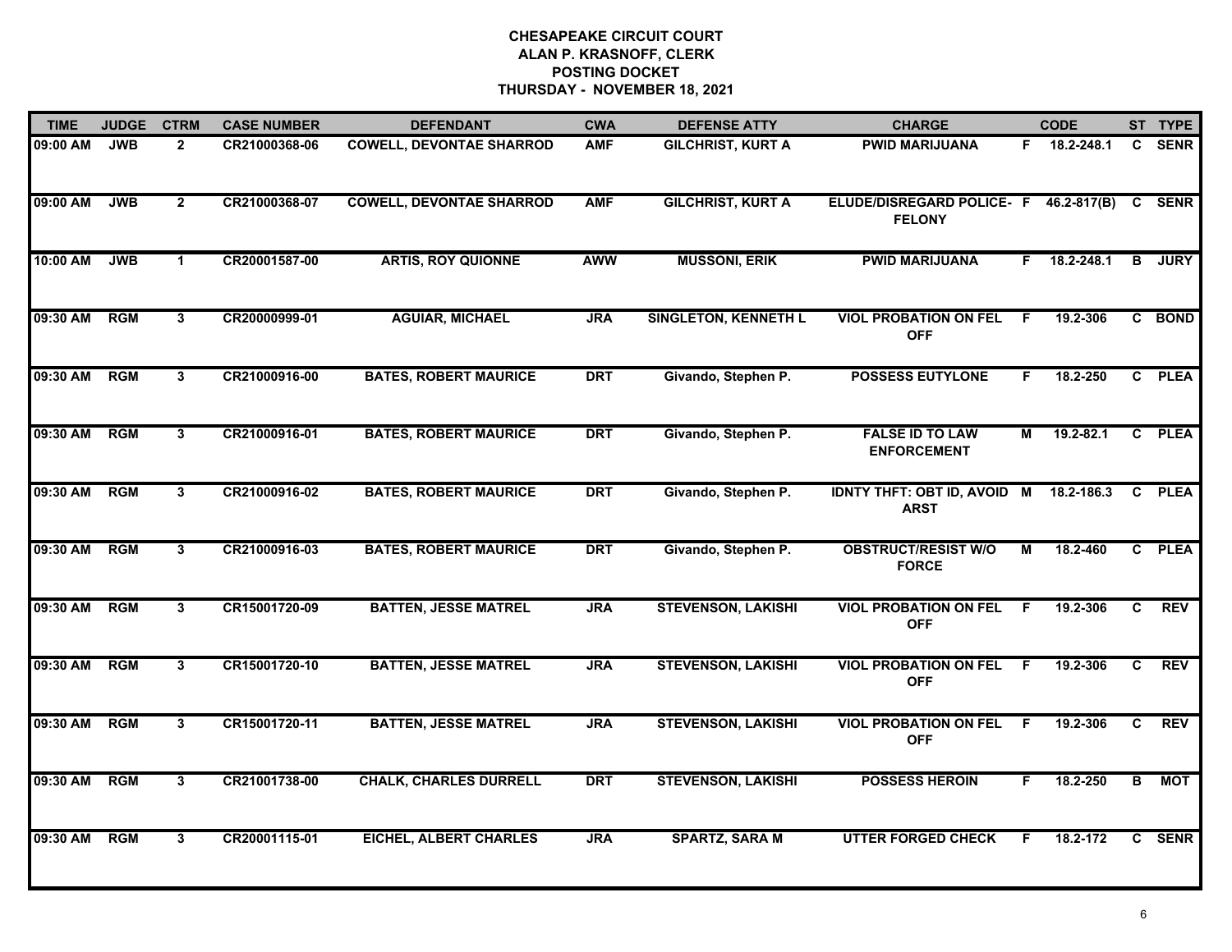| <b>TIME</b> | <b>JUDGE</b> | <b>CTRM</b>    | <b>CASE NUMBER</b> | <b>DEFENDANT</b>                | <b>CWA</b> | <b>DEFENSE ATTY</b>         | <b>CHARGE</b>                                         |    | <b>CODE</b>   |    | ST TYPE     |
|-------------|--------------|----------------|--------------------|---------------------------------|------------|-----------------------------|-------------------------------------------------------|----|---------------|----|-------------|
| 09:00 AM    | <b>JWB</b>   | $\mathbf{2}$   | CR21000368-06      | <b>COWELL, DEVONTAE SHARROD</b> | <b>AMF</b> | <b>GILCHRIST, KURT A</b>    | <b>PWID MARIJUANA</b>                                 |    | F 18.2-248.1  | C. | <b>SENR</b> |
| 09:00 AM    | <b>JWB</b>   | $\overline{2}$ | CR21000368-07      | <b>COWELL, DEVONTAE SHARROD</b> | <b>AMF</b> | <b>GILCHRIST, KURT A</b>    | ELUDE/DISREGARD POLICE- F<br><b>FELONY</b>            |    | 46.2-817(B)   | C  | <b>SENR</b> |
| 10:00 AM    | <b>JWB</b>   | $\mathbf 1$    | CR20001587-00      | <b>ARTIS, ROY QUIONNE</b>       | <b>AWW</b> | <b>MUSSONI, ERIK</b>        | <b>PWID MARIJUANA</b>                                 |    | F 18.2-248.1  | B  | <b>JURY</b> |
| 09:30 AM    | <b>RGM</b>   | 3              | CR20000999-01      | <b>AGUIAR, MICHAEL</b>          | <b>JRA</b> | <b>SINGLETON, KENNETH L</b> | <b>VIOL PROBATION ON FEL</b><br><b>OFF</b>            | -F | 19.2-306      |    | C BOND      |
| 09:30 AM    | <b>RGM</b>   | 3              | CR21000916-00      | <b>BATES, ROBERT MAURICE</b>    | <b>DRT</b> | Givando, Stephen P.         | <b>POSSESS EUTYLONE</b>                               | F. | 18.2-250      |    | C PLEA      |
| 09:30 AM    | <b>RGM</b>   | 3              | CR21000916-01      | <b>BATES, ROBERT MAURICE</b>    | <b>DRT</b> | Givando, Stephen P.         | <b>FALSE ID TO LAW</b><br><b>ENFORCEMENT</b>          | М  | $19.2 - 82.1$ |    | C PLEA      |
| 09:30 AM    | <b>RGM</b>   | 3              | CR21000916-02      | <b>BATES, ROBERT MAURICE</b>    | <b>DRT</b> | Givando, Stephen P.         | IDNTY THFT: OBT ID, AVOID M 18.2-186.3<br><b>ARST</b> |    |               |    | C PLEA      |
| 09:30 AM    | <b>RGM</b>   | 3              | CR21000916-03      | <b>BATES, ROBERT MAURICE</b>    | <b>DRT</b> | Givando, Stephen P.         | <b>OBSTRUCT/RESIST W/O</b><br><b>FORCE</b>            | М  | 18.2-460      |    | C PLEA      |
| 09:30 AM    | <b>RGM</b>   | 3              | CR15001720-09      | <b>BATTEN, JESSE MATREL</b>     | <b>JRA</b> | <b>STEVENSON, LAKISHI</b>   | <b>VIOL PROBATION ON FEL</b><br><b>OFF</b>            | F  | 19.2-306      | C  | <b>REV</b>  |
| 09:30 AM    | <b>RGM</b>   | 3              | CR15001720-10      | <b>BATTEN, JESSE MATREL</b>     | <b>JRA</b> | <b>STEVENSON, LAKISHI</b>   | <b>VIOL PROBATION ON FEL</b><br><b>OFF</b>            | -F | 19.2-306      | C  | <b>REV</b>  |
| 09:30 AM    | <b>RGM</b>   | 3              | CR15001720-11      | <b>BATTEN, JESSE MATREL</b>     | <b>JRA</b> | <b>STEVENSON, LAKISHI</b>   | <b>VIOL PROBATION ON FEL</b><br><b>OFF</b>            | F. | 19.2-306      | C  | <b>REV</b>  |
| 09:30 AM    | <b>RGM</b>   | 3              | CR21001738-00      | <b>CHALK, CHARLES DURRELL</b>   | <b>DRT</b> | <b>STEVENSON, LAKISHI</b>   | <b>POSSESS HEROIN</b>                                 | F. | 18.2-250      | B  | МОТ         |
| 09:30 AM    | <b>RGM</b>   | 3              | CR20001115-01      | <b>EICHEL, ALBERT CHARLES</b>   | <b>JRA</b> | <b>SPARTZ, SARA M</b>       | <b>UTTER FORGED CHECK</b>                             | F. | 18.2-172      | C. | <b>SENR</b> |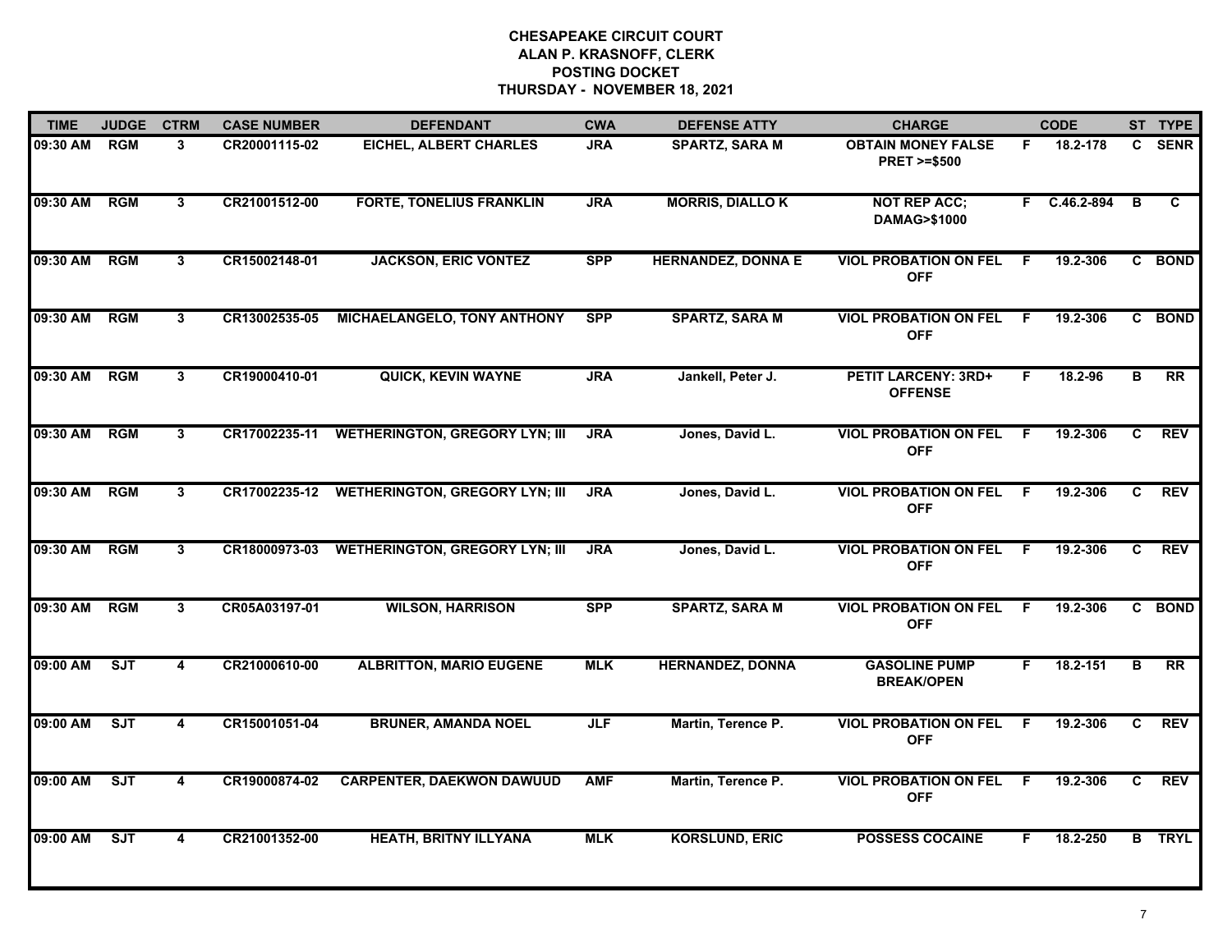| <b>TIME</b>  | <b>JUDGE</b> | <b>CTRM</b>    | <b>CASE NUMBER</b> | <b>DEFENDANT</b>                             | <b>CWA</b> | <b>DEFENSE ATTY</b>       | <b>CHARGE</b>                                       |              | <b>CODE</b>  |    | ST TYPE       |
|--------------|--------------|----------------|--------------------|----------------------------------------------|------------|---------------------------|-----------------------------------------------------|--------------|--------------|----|---------------|
| 09:30 AM     | <b>RGM</b>   | 3              | CR20001115-02      | EICHEL, ALBERT CHARLES                       | JRA        | <b>SPARTZ, SARA M</b>     | <b>OBTAIN MONEY FALSE</b><br><b>PRET &gt;=\$500</b> | F.           | 18.2-178     | C. | <b>SENR</b>   |
| 09:30 AM     | RGM          | 3              | CR21001512-00      | <b>FORTE, TONELIUS FRANKLIN</b>              | <b>JRA</b> | <b>MORRIS, DIALLOK</b>    | <b>NOT REP ACC;</b><br>DAMAG>\$1000                 |              | F C.46.2-894 | в  | C             |
| 09:30 AM     | <b>RGM</b>   | 3              | CR15002148-01      | <b>JACKSON, ERIC VONTEZ</b>                  | <b>SPP</b> | <b>HERNANDEZ, DONNA E</b> | <b>VIOL PROBATION ON FEL</b><br><b>OFF</b>          | F            | 19.2-306     |    | C BOND        |
| 09:30 AM     | <b>RGM</b>   | 3              | CR13002535-05      | <b>MICHAELANGELO, TONY ANTHONY</b>           | <b>SPP</b> | <b>SPARTZ, SARA M</b>     | <b>VIOL PROBATION ON FEL</b><br><b>OFF</b>          | - F          | 19.2-306     |    | C BOND        |
| 09:30 AM     | <b>RGM</b>   | $\mathbf{3}$   | CR19000410-01      | <b>QUICK, KEVIN WAYNE</b>                    | <b>JRA</b> | Jankell, Peter J.         | <b>PETIT LARCENY: 3RD+</b><br><b>OFFENSE</b>        | F.           | 18.2-96      | B  | <b>RR</b>     |
| 09:30 AM RGM |              | $3\phantom{a}$ |                    | CR17002235-11 WETHERINGTON, GREGORY LYN; III | <b>JRA</b> | Jones, David L.           | <b>VIOL PROBATION ON FEL</b><br><b>OFF</b>          | - F          | 19.2-306     | C  | <b>REV</b>    |
| 09:30 AM     | RGM          | $3\phantom{a}$ |                    | CR17002235-12 WETHERINGTON, GREGORY LYN; III | <b>JRA</b> | Jones, David L.           | <b>VIOL PROBATION ON FEL</b><br><b>OFF</b>          | $\mathsf{F}$ | 19.2-306     | C  | <b>REV</b>    |
| 09:30 AM     | <b>RGM</b>   | 3              | CR18000973-03      | <b>WETHERINGTON, GREGORY LYN; III</b>        | <b>JRA</b> | Jones, David L.           | <b>VIOL PROBATION ON FEL</b><br><b>OFF</b>          | -F           | 19.2-306     | C  | <b>REV</b>    |
| 09:30 AM     | <b>RGM</b>   | 3              | CR05A03197-01      | <b>WILSON, HARRISON</b>                      | <b>SPP</b> | <b>SPARTZ, SARA M</b>     | <b>VIOL PROBATION ON FEL</b><br><b>OFF</b>          | F            | 19.2-306     | C. | <b>BOND</b>   |
| 09:00 AM     | SJT          | 4              | CR21000610-00      | <b>ALBRITTON, MARIO EUGENE</b>               | <b>MLK</b> | <b>HERNANDEZ, DONNA</b>   | <b>GASOLINE PUMP</b><br><b>BREAK/OPEN</b>           | F.           | 18.2-151     | в  | <b>RR</b>     |
| 09:00 AM     | ST           | 4              | CR15001051-04      | <b>BRUNER, AMANDA NOEL</b>                   | <b>JLF</b> | Martin, Terence P.        | <b>VIOL PROBATION ON FEL</b><br><b>OFF</b>          | - F          | 19.2-306     | C. | <b>REV</b>    |
| 09:00 AM     | SJT          | 4              | CR19000874-02      | <b>CARPENTER, DAEKWON DAWUUD</b>             | <b>AMF</b> | Martin, Terence P.        | <b>VIOL PROBATION ON FEL</b><br><b>OFF</b>          | - F          | 19.2-306     | C  | <b>REV</b>    |
| 09:00 AM     | ST           | 4              | CR21001352-00      | <b>HEATH, BRITNY ILLYANA</b>                 | <b>MLK</b> | <b>KORSLUND, ERIC</b>     | <b>POSSESS COCAINE</b>                              | F.           | 18.2-250     |    | <b>B</b> TRYL |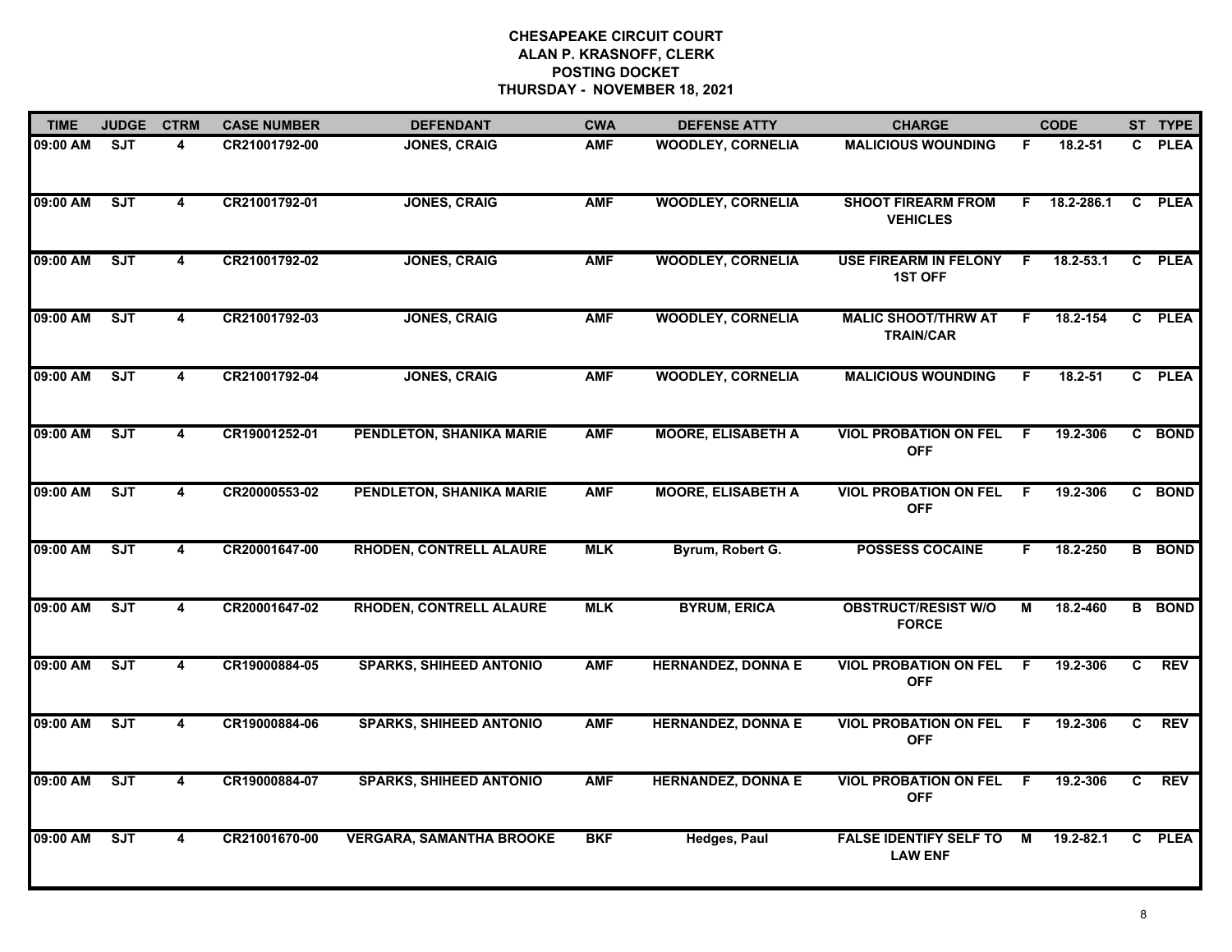| <b>TIME</b> | <b>JUDGE</b> | <b>CTRM</b>             | <b>CASE NUMBER</b> | <b>DEFENDANT</b>                | <b>CWA</b> | <b>DEFENSE ATTY</b>       | <b>CHARGE</b>                                   |     | <b>CODE</b>    |              | ST TYPE       |
|-------------|--------------|-------------------------|--------------------|---------------------------------|------------|---------------------------|-------------------------------------------------|-----|----------------|--------------|---------------|
| 09:00 AM    | <b>SJT</b>   | 4                       | CR21001792-00      | <b>JONES, CRAIG</b>             | <b>AMF</b> | <b>WOODLEY, CORNELIA</b>  | <b>MALICIOUS WOUNDING</b>                       | F.  | 18.2-51        | C.           | <b>PLEA</b>   |
| 09:00 AM    | SJT          | $\overline{\mathbf{4}}$ | CR21001792-01      | <b>JONES, CRAIG</b>             | <b>AMF</b> | <b>WOODLEY, CORNELIA</b>  | <b>SHOOT FIREARM FROM</b><br><b>VEHICLES</b>    |     | $F$ 18.2-286.1 |              | C PLEA        |
| 09:00 AM    | ST           | 4                       | CR21001792-02      | <b>JONES, CRAIG</b>             | <b>AMF</b> | <b>WOODLEY, CORNELIA</b>  | <b>USE FIREARM IN FELONY</b><br><b>1ST OFF</b>  | .F  | 18.2-53.1      |              | C PLEA        |
| 09:00 AM    | <b>SJT</b>   | 4                       | CR21001792-03      | <b>JONES, CRAIG</b>             | <b>AMF</b> | <b>WOODLEY, CORNELIA</b>  | <b>MALIC SHOOT/THRW AT</b><br><b>TRAIN/CAR</b>  | F   | 18.2-154       |              | C PLEA        |
| 09:00 AM    | ST           | 4                       | CR21001792-04      | <b>JONES, CRAIG</b>             | <b>AMF</b> | <b>WOODLEY, CORNELIA</b>  | <b>MALICIOUS WOUNDING</b>                       | F.  | $18.2 - 51$    |              | C PLEA        |
| 09:00 AM    | <b>SJT</b>   | 4                       | CR19001252-01      | PENDLETON, SHANIKA MARIE        | <b>AMF</b> | <b>MOORE, ELISABETH A</b> | <b>VIOL PROBATION ON FEL</b><br><b>OFF</b>      | - F | 19.2-306       |              | C BOND        |
| 09:00 AM    | ST           | $\overline{\mathbf{4}}$ | CR20000553-02      | PENDLETON, SHANIKA MARIE        | <b>AMF</b> | <b>MOORE, ELISABETH A</b> | <b>VIOL PROBATION ON FEL</b><br><b>OFF</b>      | - F | 19.2-306       |              | C BOND        |
| 09:00 AM    | ST           | $\overline{\mathbf{4}}$ | CR20001647-00      | <b>RHODEN, CONTRELL ALAURE</b>  | <b>MLK</b> | Byrum, Robert G.          | <b>POSSESS COCAINE</b>                          | F.  | 18.2-250       |              | <b>B</b> BOND |
| 09:00 AM    | SJT          | 4                       | CR20001647-02      | <b>RHODEN, CONTRELL ALAURE</b>  | <b>MLK</b> | <b>BYRUM, ERICA</b>       | <b>OBSTRUCT/RESIST W/O</b><br><b>FORCE</b>      | М   | 18.2-460       |              | <b>B</b> BOND |
| 09:00 AM    | SJT          | 4                       | CR19000884-05      | <b>SPARKS, SHIHEED ANTONIO</b>  | <b>AMF</b> | <b>HERNANDEZ, DONNA E</b> | <b>VIOL PROBATION ON FEL</b><br><b>OFF</b>      | F.  | 19.2-306       | C            | <b>REV</b>    |
| 09:00 AM    | ST           | 4                       | CR19000884-06      | <b>SPARKS, SHIHEED ANTONIO</b>  | <b>AMF</b> | <b>HERNANDEZ, DONNA E</b> | <b>VIOL PROBATION ON FEL</b><br><b>OFF</b>      | -F  | 19.2-306       | $\mathbf{c}$ | <b>REV</b>    |
| 09:00 AM    | SJT          | $\overline{4}$          | CR19000884-07      | <b>SPARKS, SHIHEED ANTONIO</b>  | <b>AMF</b> | <b>HERNANDEZ, DONNA E</b> | <b>VIOL PROBATION ON FEL</b><br><b>OFF</b>      | -F  | 19.2-306       | C            | <b>REV</b>    |
| 09:00 AM    | ST           | 4                       | CR21001670-00      | <b>VERGARA, SAMANTHA BROOKE</b> | <b>BKF</b> | <b>Hedges, Paul</b>       | <b>FALSE IDENTIFY SELF TO</b><br><b>LAW ENF</b> | M   | 19.2-82.1      |              | C PLEA        |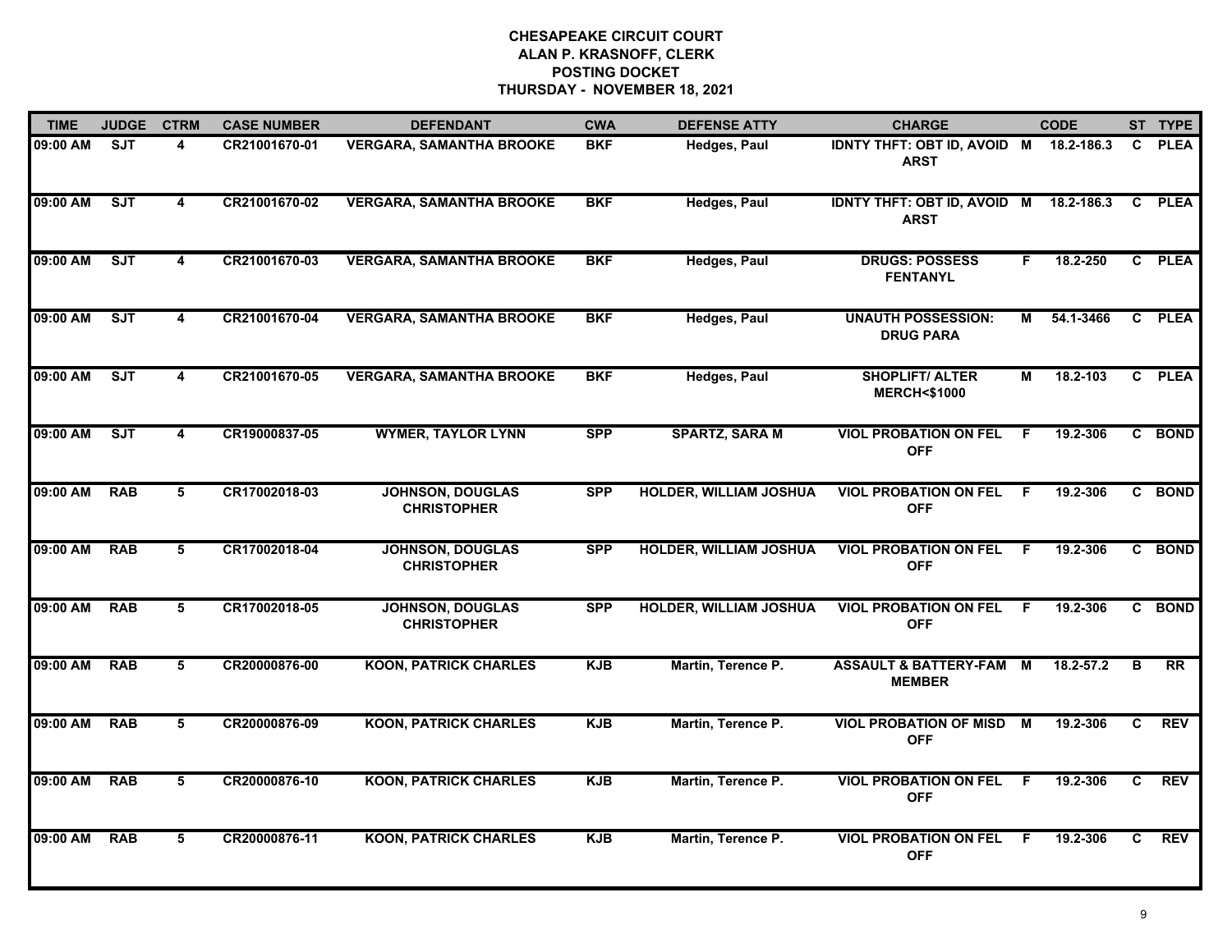| <b>TIME</b> | <b>JUDGE</b> | <b>CTRM</b>             | <b>CASE NUMBER</b> | <b>DEFENDANT</b>                              | <b>CWA</b> | <b>DEFENSE ATTY</b>           | <b>CHARGE</b>                                         |    | <b>CODE</b> |    | ST TYPE     |
|-------------|--------------|-------------------------|--------------------|-----------------------------------------------|------------|-------------------------------|-------------------------------------------------------|----|-------------|----|-------------|
| 09:00 AM    | <b>SJT</b>   | 4                       | CR21001670-01      | <b>VERGARA, SAMANTHA BROOKE</b>               | <b>BKF</b> | Hedges, Paul                  | IDNTY THFT: OBT ID, AVOID M 18.2-186.3<br><b>ARST</b> |    |             | C. | <b>PLEA</b> |
| 09:00 AM    | <b>SJT</b>   | $\overline{\mathbf{4}}$ | CR21001670-02      | <b>VERGARA, SAMANTHA BROOKE</b>               | <b>BKF</b> | <b>Hedges, Paul</b>           | <b>IDNTY THFT: OBT ID, AVOID M</b><br><b>ARST</b>     |    | 18.2-186.3  | C  | <b>PLEA</b> |
| 09:00 AM    | SJT          | $\overline{\mathbf{4}}$ | CR21001670-03      | <b>VERGARA, SAMANTHA BROOKE</b>               | <b>BKF</b> | <b>Hedges, Paul</b>           | <b>DRUGS: POSSESS</b><br><b>FENTANYL</b>              | F. | 18.2-250    |    | C PLEA      |
| 09:00 AM    | SJT          | 4                       | CR21001670-04      | <b>VERGARA, SAMANTHA BROOKE</b>               | <b>BKF</b> | <b>Hedges, Paul</b>           | <b>UNAUTH POSSESSION:</b><br><b>DRUG PARA</b>         | М  | 54.1-3466   |    | C PLEA      |
| 09:00 AM    | SJT          | 4                       | CR21001670-05      | <b>VERGARA, SAMANTHA BROOKE</b>               | <b>BKF</b> | <b>Hedges, Paul</b>           | <b>SHOPLIFT/ ALTER</b><br><b>MERCH&lt;\$1000</b>      | M  | 18.2-103    |    | C PLEA      |
| 09:00 AM    | SJT          | $\overline{\mathbf{4}}$ | CR19000837-05      | <b>WYMER, TAYLOR LYNN</b>                     | <b>SPP</b> | <b>SPARTZ, SARA M</b>         | <b>VIOL PROBATION ON FEL</b><br><b>OFF</b>            | F. | 19.2-306    |    | C BOND      |
| 09:00 AM    | <b>RAB</b>   | 5                       | CR17002018-03      | <b>JOHNSON, DOUGLAS</b><br><b>CHRISTOPHER</b> | <b>SPP</b> | <b>HOLDER, WILLIAM JOSHUA</b> | <b>VIOL PROBATION ON FEL F</b><br><b>OFF</b>          |    | 19.2-306    |    | C BOND      |
| 09:00 AM    | <b>RAB</b>   | 5                       | CR17002018-04      | <b>JOHNSON, DOUGLAS</b><br><b>CHRISTOPHER</b> | <b>SPP</b> | <b>HOLDER, WILLIAM JOSHUA</b> | <b>VIOL PROBATION ON FEL</b><br><b>OFF</b>            | -F | 19.2-306    |    | C BOND      |
| 09:00 AM    | <b>RAB</b>   | 5                       | CR17002018-05      | <b>JOHNSON, DOUGLAS</b><br><b>CHRISTOPHER</b> | <b>SPP</b> | <b>HOLDER, WILLIAM JOSHUA</b> | <b>VIOL PROBATION ON FEL</b><br><b>OFF</b>            | -F | 19.2-306    | C. | <b>BOND</b> |
| 09:00 AM    | <b>RAB</b>   | 5                       | CR20000876-00      | <b>KOON, PATRICK CHARLES</b>                  | <b>KJB</b> | Martin, Terence P.            | <b>ASSAULT &amp; BATTERY-FAM</b><br><b>MEMBER</b>     | M  | 18.2-57.2   | B  | <b>RR</b>   |
| 09:00 AM    | <b>RAB</b>   | 5                       | CR20000876-09      | <b>KOON, PATRICK CHARLES</b>                  | <b>KJB</b> | Martin, Terence P.            | <b>VIOL PROBATION OF MISD M</b><br><b>OFF</b>         |    | 19.2-306    | C  | <b>REV</b>  |
| 09:00 AM    | <b>RAB</b>   | 5                       | CR20000876-10      | <b>KOON, PATRICK CHARLES</b>                  | <b>KJB</b> | Martin, Terence P.            | <b>VIOL PROBATION ON FEL</b><br><b>OFF</b>            | F. | 19.2-306    | C  | <b>REV</b>  |
| 09:00 AM    | <b>RAB</b>   | 5                       | CR20000876-11      | <b>KOON, PATRICK CHARLES</b>                  | <b>KJB</b> | Martin, Terence P.            | <b>VIOL PROBATION ON FEL</b><br><b>OFF</b>            | -F | 19.2-306    | C. | <b>REV</b>  |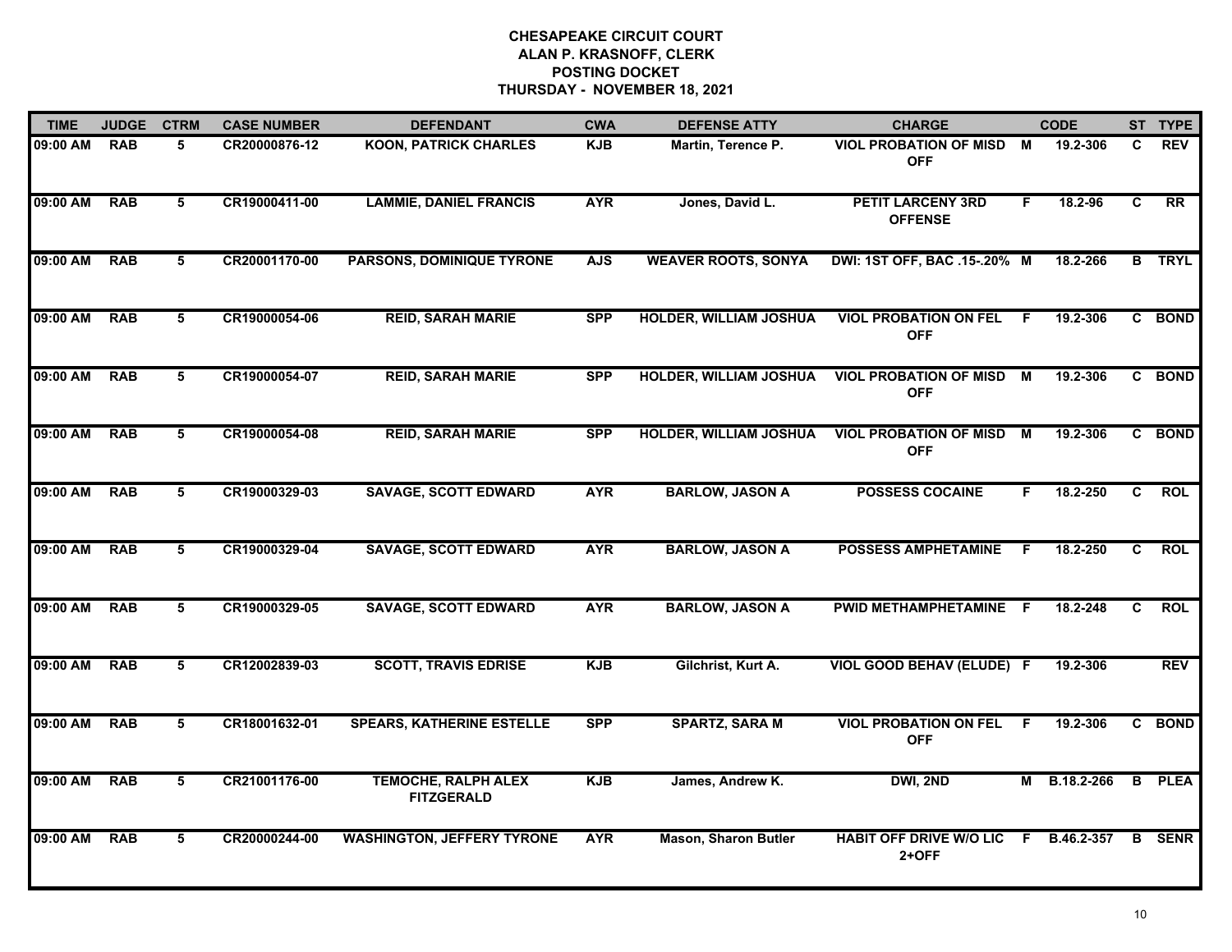| <b>TIME</b> | <b>JUDGE</b> | <b>CTRM</b>     | <b>CASE NUMBER</b> | <b>DEFENDANT</b>                                | <b>CWA</b> | <b>DEFENSE ATTY</b>           | <b>CHARGE</b>                                 |    | <b>CODE</b> |                | ST TYPE       |
|-------------|--------------|-----------------|--------------------|-------------------------------------------------|------------|-------------------------------|-----------------------------------------------|----|-------------|----------------|---------------|
| 09:00 AM    | <b>RAB</b>   | 5               | CR20000876-12      | <b>KOON, PATRICK CHARLES</b>                    | <b>KJB</b> | Martin, Terence P.            | <b>VIOL PROBATION OF MISD M</b><br><b>OFF</b> |    | 19.2-306    | C.             | <b>REV</b>    |
| 09:00 AM    | <b>RAB</b>   | 5               | CR19000411-00      | <b>LAMMIE, DANIEL FRANCIS</b>                   | <b>AYR</b> | Jones, David L.               | <b>PETIT LARCENY 3RD</b><br><b>OFFENSE</b>    | F. | 18.2-96     | C              | RR            |
| 09:00 AM    | <b>RAB</b>   | 5               | CR20001170-00      | <b>PARSONS, DOMINIQUE TYRONE</b>                | <b>AJS</b> | <b>WEAVER ROOTS, SONYA</b>    | DWI: 1ST OFF, BAC .15-.20% M                  |    | 18.2-266    |                | <b>B</b> TRYL |
| 09:00 AM    | <b>RAB</b>   | 5               | CR19000054-06      | <b>REID, SARAH MARIE</b>                        | <b>SPP</b> | <b>HOLDER, WILLIAM JOSHUA</b> | <b>VIOL PROBATION ON FEL</b><br><b>OFF</b>    | -F | 19.2-306    |                | C BOND        |
| 09:00 AM    | <b>RAB</b>   | 5               | CR19000054-07      | <b>REID, SARAH MARIE</b>                        | <b>SPP</b> | <b>HOLDER, WILLIAM JOSHUA</b> | <b>VIOL PROBATION OF MISD</b><br><b>OFF</b>   | M  | 19.2-306    |                | C BOND        |
| 09:00 AM    | <b>RAB</b>   | 5               | CR19000054-08      | <b>REID, SARAH MARIE</b>                        | <b>SPP</b> | <b>HOLDER, WILLIAM JOSHUA</b> | <b>VIOL PROBATION OF MISD M</b><br><b>OFF</b> |    | 19.2-306    |                | C BOND        |
| 09:00 AM    | <b>RAB</b>   | 5               | CR19000329-03      | <b>SAVAGE, SCOTT EDWARD</b>                     | <b>AYR</b> | <b>BARLOW, JASON A</b>        | <b>POSSESS COCAINE</b>                        | F. | 18.2-250    | $\overline{c}$ | <b>ROL</b>    |
| 09:00 AM    | <b>RAB</b>   | 5               | CR19000329-04      | <b>SAVAGE, SCOTT EDWARD</b>                     | <b>AYR</b> | <b>BARLOW, JASON A</b>        | <b>POSSESS AMPHETAMINE</b>                    | F  | 18.2-250    | C              | <b>ROL</b>    |
| 09:00 AM    | <b>RAB</b>   | 5               | CR19000329-05      | <b>SAVAGE, SCOTT EDWARD</b>                     | <b>AYR</b> | <b>BARLOW, JASON A</b>        | PWID METHAMPHETAMINE F                        |    | 18.2-248    | C              | <b>ROL</b>    |
| 09:00 AM    | <b>RAB</b>   | 5               | CR12002839-03      | <b>SCOTT, TRAVIS EDRISE</b>                     | <b>KJB</b> | Gilchrist, Kurt A.            | VIOL GOOD BEHAV (ELUDE) F                     |    | 19.2-306    |                | <b>REV</b>    |
| 09:00 AM    | <b>RAB</b>   | 5               | CR18001632-01      | <b>SPEARS, KATHERINE ESTELLE</b>                | <b>SPP</b> | <b>SPARTZ, SARA M</b>         | <b>VIOL PROBATION ON FEL</b><br><b>OFF</b>    | -F | 19.2-306    |                | C BOND        |
| 09:00 AM    | <b>RAB</b>   | $5\overline{5}$ | CR21001176-00      | <b>TEMOCHE, RALPH ALEX</b><br><b>FITZGERALD</b> | <b>KJB</b> | James, Andrew K.              | DWI, 2ND                                      | М  | B.18.2-266  |                | <b>B</b> PLEA |
| 09:00 AM    | <b>RAB</b>   | 5               | CR20000244-00      | <b>WASHINGTON, JEFFERY TYRONE</b>               | <b>AYR</b> | <b>Mason, Sharon Butler</b>   | <b>HABIT OFF DRIVE W/O LIC</b><br>2+OFF       | F. | B.46.2-357  |                | <b>B</b> SENR |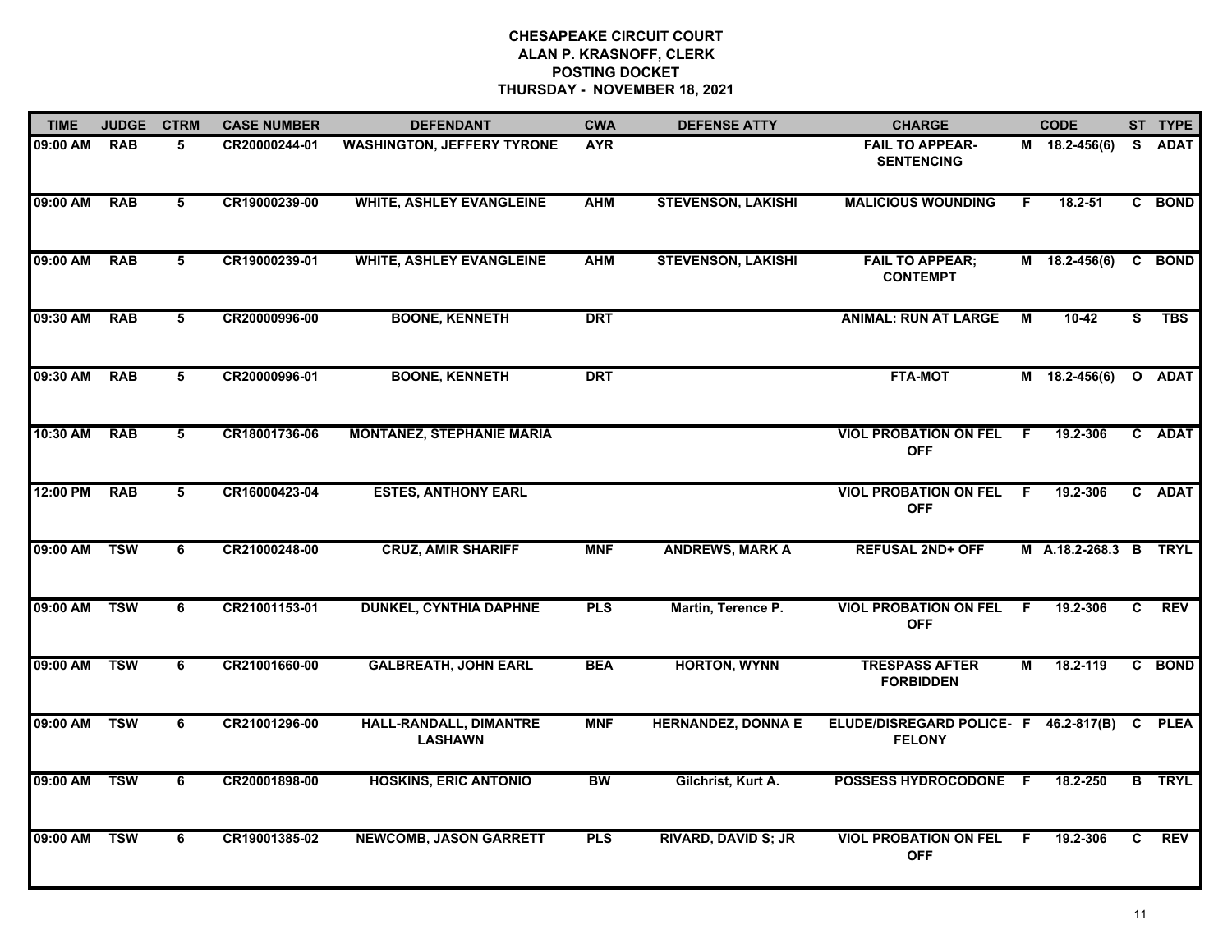| <b>TIME</b> | <b>JUDGE</b> | <b>CTRM</b> | <b>CASE NUMBER</b> | <b>DEFENDANT</b>                         | <b>CWA</b> | <b>DEFENSE ATTY</b>        | <b>CHARGE</b>                                          |     | <b>CODE</b>           |    | ST TYPE       |
|-------------|--------------|-------------|--------------------|------------------------------------------|------------|----------------------------|--------------------------------------------------------|-----|-----------------------|----|---------------|
| 09:00 AM    | <b>RAB</b>   | 5           | CR20000244-01      | <b>WASHINGTON, JEFFERY TYRONE</b>        | <b>AYR</b> |                            | <b>FAIL TO APPEAR-</b><br><b>SENTENCING</b>            |     | M 18.2-456(6)         |    | S ADAT        |
| 09:00 AM    | <b>RAB</b>   | 5           | CR19000239-00      | <b>WHITE, ASHLEY EVANGLEINE</b>          | <b>AHM</b> | <b>STEVENSON, LAKISHI</b>  | <b>MALICIOUS WOUNDING</b>                              | F.  | 18.2-51               |    | C BOND        |
| 09:00 AM    | <b>RAB</b>   | 5           | CR19000239-01      | <b>WHITE, ASHLEY EVANGLEINE</b>          | <b>AHM</b> | <b>STEVENSON, LAKISHI</b>  | <b>FAIL TO APPEAR;</b><br><b>CONTEMPT</b>              |     | $M$ 18.2-456(6)       |    | C BOND        |
| 09:30 AM    | <b>RAB</b>   | 5           | CR20000996-00      | <b>BOONE, KENNETH</b>                    | <b>DRT</b> |                            | <b>ANIMAL: RUN AT LARGE</b>                            | M   | $10 - 42$             | S  | <b>TBS</b>    |
| 09:30 AM    | <b>RAB</b>   | 5           | CR20000996-01      | <b>BOONE, KENNETH</b>                    | <b>DRT</b> |                            | <b>FTA-MOT</b>                                         |     | $M$ 18.2-456(6)       |    | O ADAT        |
| 10:30 AM    | <b>RAB</b>   | 5           | CR18001736-06      | <b>MONTANEZ, STEPHANIE MARIA</b>         |            |                            | <b>VIOL PROBATION ON FEL F</b><br><b>OFF</b>           |     | 19.2-306              |    | C ADAT        |
| 12:00 PM    | <b>RAB</b>   | 5           | CR16000423-04      | <b>ESTES, ANTHONY EARL</b>               |            |                            | <b>VIOL PROBATION ON FEL F</b><br><b>OFF</b>           |     | 19.2-306              |    | C ADAT        |
| 09:00 AM    | <b>TSW</b>   | 6           | CR21000248-00      | <b>CRUZ, AMIR SHARIFF</b>                | <b>MNF</b> | <b>ANDREWS, MARK A</b>     | <b>REFUSAL 2ND+ OFF</b>                                |     | M A.18.2-268.3 B TRYL |    |               |
| 09:00 AM    | <b>TSW</b>   | 6           | CR21001153-01      | <b>DUNKEL, CYNTHIA DAPHNE</b>            | <b>PLS</b> | Martin, Terence P.         | <b>VIOL PROBATION ON FEL</b><br><b>OFF</b>             | -F  | 19.2-306              | C. | <b>REV</b>    |
| 09:00 AM    | <b>TSW</b>   | 6           | CR21001660-00      | <b>GALBREATH, JOHN EARL</b>              | <b>BEA</b> | <b>HORTON, WYNN</b>        | <b>TRESPASS AFTER</b><br><b>FORBIDDEN</b>              | М   | 18.2-119              |    | C BOND        |
| 09:00 AM    | <b>TSW</b>   | 6           | CR21001296-00      | HALL-RANDALL, DIMANTRE<br><b>LASHAWN</b> | <b>MNF</b> | <b>HERNANDEZ, DONNA E</b>  | ELUDE/DISREGARD POLICE- F 46.2-817(B)<br><b>FELONY</b> |     |                       |    | C PLEA        |
| 09:00 AM    | <b>TSW</b>   | 6           | CR20001898-00      | <b>HOSKINS, ERIC ANTONIO</b>             | <b>BW</b>  | Gilchrist, Kurt A.         | POSSESS HYDROCODONE F                                  |     | 18.2-250              |    | <b>B</b> TRYL |
| 09:00 AM    | <b>TSW</b>   | 6           | CR19001385-02      | <b>NEWCOMB, JASON GARRETT</b>            | <b>PLS</b> | <b>RIVARD, DAVID S; JR</b> | <b>VIOL PROBATION ON FEL</b><br><b>OFF</b>             | - F | 19.2-306              | C. | <b>REV</b>    |